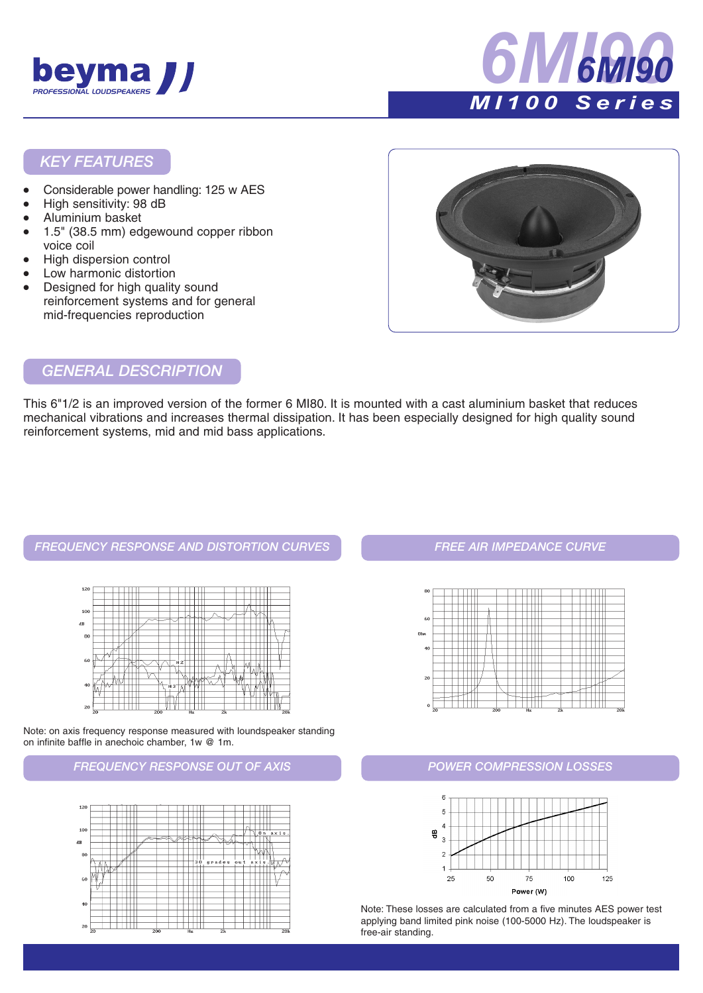



### *KEY FEATURES*

- Considerable power handling: 125 w AES
- High sensitivity: 98 dB
- Aluminium basket
- 1.5" (38.5 mm) edgewound copper ribbon voice coil
- **High dispersion control**
- Low harmonic distortion
- Designed for high quality sound reinforcement systems and for general mid-frequencies reproduction



# *GENERAL DESCRIPTION*

This 6"1/2 is an improved version of the former 6 MI80. It is mounted with a cast aluminium basket that reduces mechanical vibrations and increases thermal dissipation. It has been especially designed for high quality sound reinforcement systems, mid and mid bass applications.

#### *FREQUENCY RESPONSE AND DISTORTION CURVES FREE AIR IMPEDANCE CURVE*



Note: on axis frequency response measured with loundspeaker standing on infinite baffle in anechoic chamber, 1w @ 1m.

#### *FREQUENCY RESPONSE OUT OF AXIS*





#### *POWER COMPRESSION LOSSES*



Note: These losses are calculated from a five minutes AES power test applying band limited pink noise (100-5000 Hz). The loudspeaker is free-air standing.